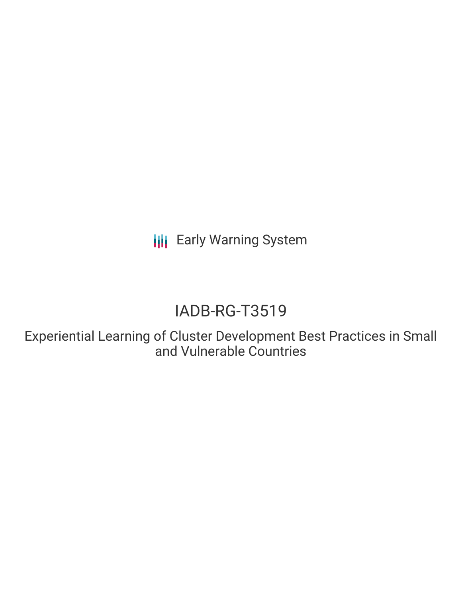**III** Early Warning System

# IADB-RG-T3519

Experiential Learning of Cluster Development Best Practices in Small and Vulnerable Countries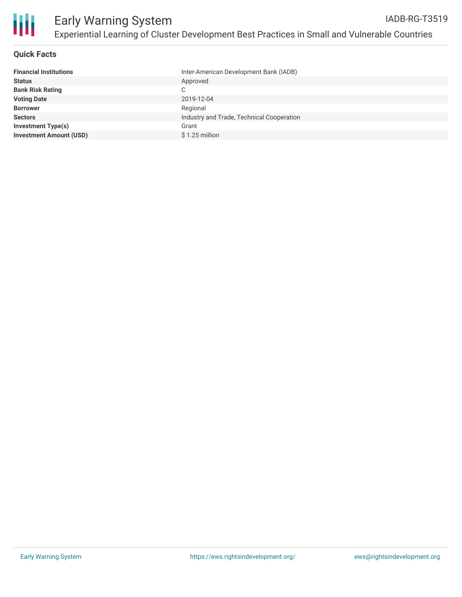

# **Quick Facts**

| Inter-American Development Bank (IADB)    |
|-------------------------------------------|
| Approved                                  |
| C.                                        |
| 2019-12-04                                |
| Regional                                  |
| Industry and Trade, Technical Cooperation |
| Grant                                     |
| $$1.25$ million                           |
|                                           |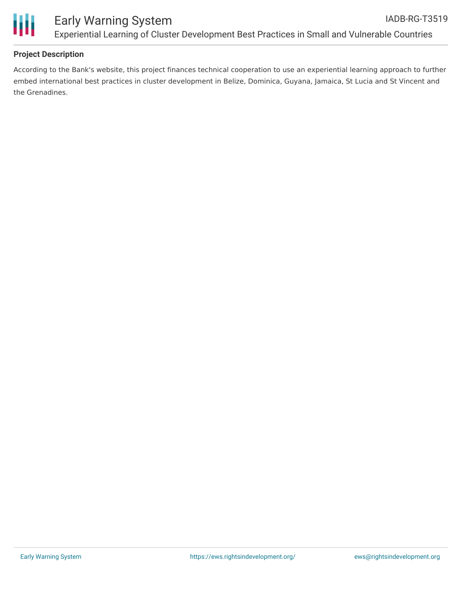

# **Project Description**

According to the Bank's website, this project finances technical cooperation to use an experiential learning approach to further embed international best practices in cluster development in Belize, Dominica, Guyana, Jamaica, St Lucia and St Vincent and the Grenadines.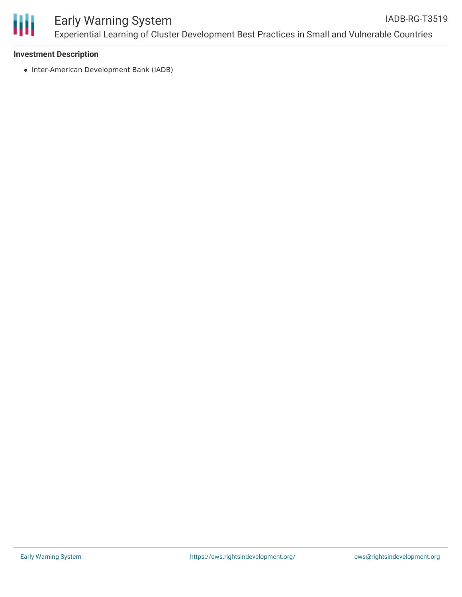

## **Investment Description**

• Inter-American Development Bank (IADB)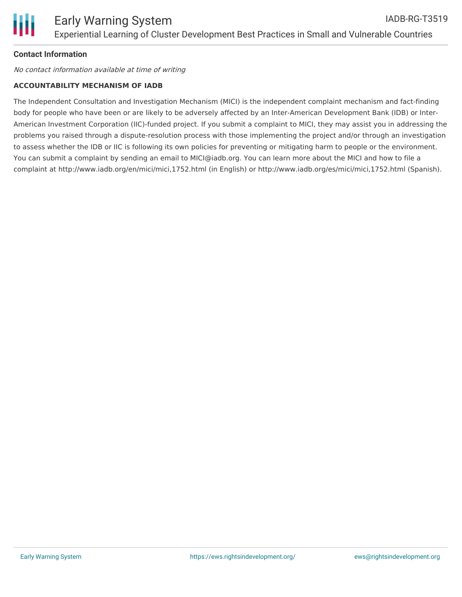# **Contact Information**

No contact information available at time of writing

## **ACCOUNTABILITY MECHANISM OF IADB**

The Independent Consultation and Investigation Mechanism (MICI) is the independent complaint mechanism and fact-finding body for people who have been or are likely to be adversely affected by an Inter-American Development Bank (IDB) or Inter-American Investment Corporation (IIC)-funded project. If you submit a complaint to MICI, they may assist you in addressing the problems you raised through a dispute-resolution process with those implementing the project and/or through an investigation to assess whether the IDB or IIC is following its own policies for preventing or mitigating harm to people or the environment. You can submit a complaint by sending an email to MICI@iadb.org. You can learn more about the MICI and how to file a complaint at http://www.iadb.org/en/mici/mici,1752.html (in English) or http://www.iadb.org/es/mici/mici,1752.html (Spanish).